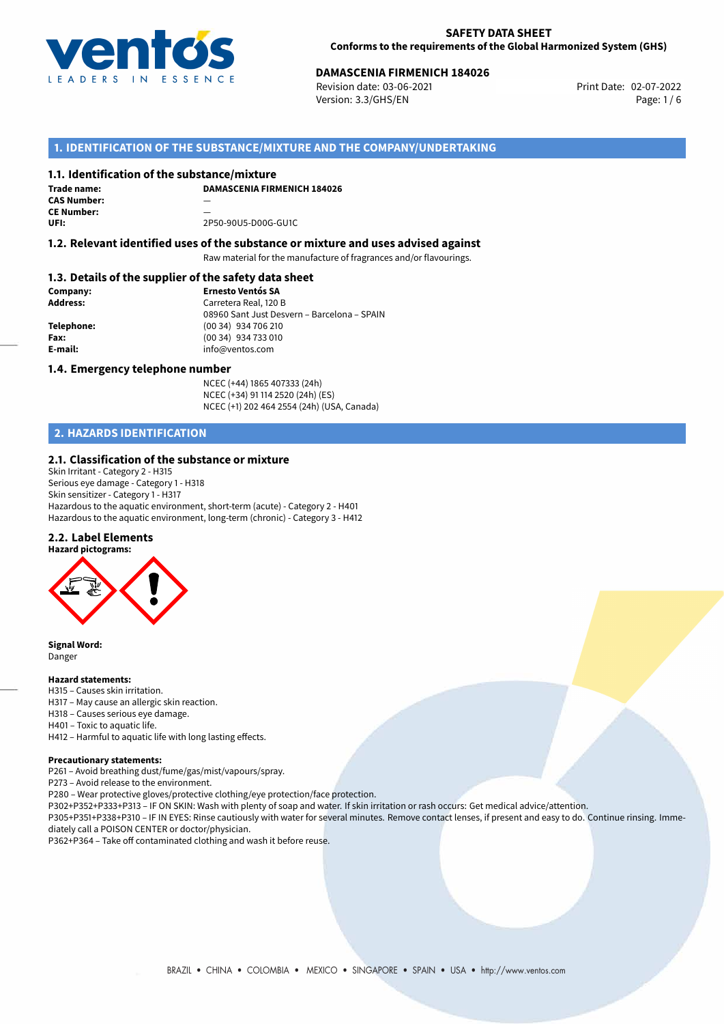

# **DAMASCENIA FIRMENICH 184026**<br>Revision date: 03-06-2021<br>**Print Date: 02-07-2022**

Revision date: 03-06-2021 Version: 3.3/GHS/EN Page: 1 / 6

# **1. IDENTIFICATION OF THE SUBSTANCE/MIXTURE AND THE COMPANY/UNDERTAKING**

### **1.1. Identification of the substance/mixture**

**Trade name: CAS Number:** — **CE Number: UFI:** 2P50-90U5-D00G-GU1C

**DAMASCENIA FIRMENICH 184026**

# **1.2. Relevant identified uses of the substance or mixture and uses advised against**

Raw material for the manufacture of fragrances and/or flavourings.

# **1.3. Details of the supplier of the safety data sheet**

| Company:   | <b>Ernesto Ventós SA</b>                    |
|------------|---------------------------------------------|
| Address:   | Carretera Real, 120 B                       |
|            | 08960 Sant Just Desvern - Barcelona - SPAIN |
| Telephone: | (00 34) 934 706 210                         |
| Fax:       | (00 34) 934 733 010                         |
| E-mail:    | info@ventos.com                             |
|            |                                             |

### **1.4. Emergency telephone number**

NCEC (+44) 1865 407333 (24h) NCEC (+34) 91 114 2520 (24h) (ES) NCEC (+1) 202 464 2554 (24h) (USA, Canada)

# **2. HAZARDS IDENTIFICATION**

### **2.1. Classification of the substance or mixture**

Skin Irritant - Category 2 - H315 Serious eye damage - Category 1 - H318 Skin sensitizer - Category 1 - H317 Hazardous to the aquatic environment, short-term (acute) - Category 2 - H401 Hazardous to the aquatic environment, long-term (chronic) - Category 3 - H412

### **2.2. Label Elements**



**Signal Word:** Danger

### **Hazard statements:**

- H315 Causes skin irritation.
- H317 May cause an allergic skin reaction.
- H318 Causes serious eye damage.
- H401 Toxic to aquatic life.

H412 – Harmful to aquatic life with long lasting effects.

#### **Precautionary statements:**

P261 – Avoid breathing dust/fume/gas/mist/vapours/spray.

P273 – Avoid release to the environment.

P280 – Wear protective gloves/protective clothing/eye protection/face protection.

P302+P352+P333+P313 – IF ON SKIN: Wash with plenty of soap and water. If skin irritation or rash occurs: Get medical advice/attention.

P305+P351+P338+P310 – IF IN EYES: Rinse cautiously with water for several minutes. Remove contact lenses, if present and easy to do. Continue rinsing. Immediately call a POISON CENTER or doctor/physician.

P362+P364 – Take off contaminated clothing and wash it before reuse.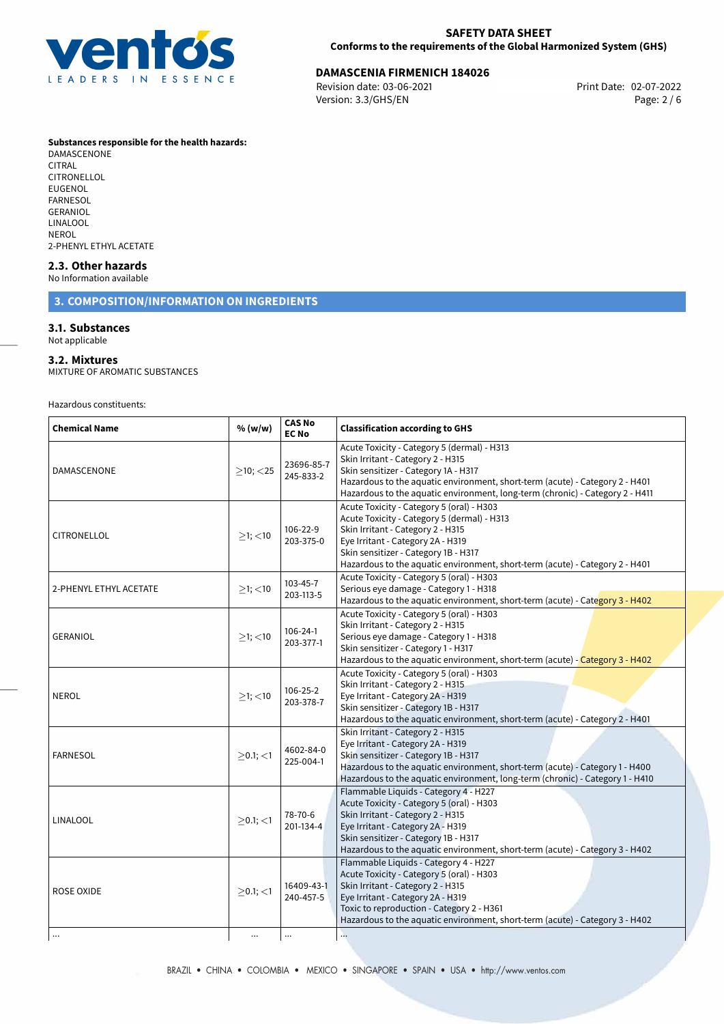

# 02-07-2022 **DAMASCENIA FIRMENICH 184026**

Revision date: 03-06-2021 Version: 3.3/GHS/EN Page: 2 / 6

### **Substances responsible for the health hazards:**

DAMASCENONE<sup>-</sup> CITRAL CITRONELLOL EUGENOL FARNESOL GERANIOL LINALOOL NEROL 2-PHENYL ETHYL ACETATE

### **2.3. Other hazards**

No Information available

# **3. COMPOSITION/INFORMATION ON INGREDIENTS**

# **3.1. Substances**

Not applicable

### **3.2. Mixtures**

MIXTURE OF AROMATIC SUBSTANCES

Hazardous constituents:

| <b>Chemical Name</b>   | % (w/w)        | <b>CAS No</b><br><b>EC No</b> | <b>Classification according to GHS</b>                                                                                                                                                                                                                                                     |  |  |
|------------------------|----------------|-------------------------------|--------------------------------------------------------------------------------------------------------------------------------------------------------------------------------------------------------------------------------------------------------------------------------------------|--|--|
| DAMASCENONE            | $>10$ ; $<$ 25 | 23696-85-7<br>245-833-2       | Acute Toxicity - Category 5 (dermal) - H313<br>Skin Irritant - Category 2 - H315<br>Skin sensitizer - Category 1A - H317<br>Hazardous to the aquatic environment, short-term (acute) - Category 2 - H401<br>Hazardous to the aquatic environment, long-term (chronic) - Category 2 - H411  |  |  |
| CITRONELLOL            | $>1$ ; $<$ 10  | 106-22-9<br>203-375-0         | Acute Toxicity - Category 5 (oral) - H303<br>Acute Toxicity - Category 5 (dermal) - H313<br>Skin Irritant - Category 2 - H315<br>Eye Irritant - Category 2A - H319<br>Skin sensitizer - Category 1B - H317<br>Hazardous to the aquatic environment, short-term (acute) - Category 2 - H401 |  |  |
| 2-PHENYL ETHYL ACETATE | $\geq$ 1; <10  | 103-45-7<br>203-113-5         | Acute Toxicity - Category 5 (oral) - H303<br>Serious eye damage - Category 1 - H318<br>Hazardous to the aquatic environment, short-term (acute) - Category 3 - H402                                                                                                                        |  |  |
| <b>GERANIOL</b>        | $>1$ ; <10     | 106-24-1<br>203-377-1         | Acute Toxicity - Category 5 (oral) - H303<br>Skin Irritant - Category 2 - H315<br>Serious eye damage - Category 1 - H318<br>Skin sensitizer - Category 1 - H317<br>Hazardous to the aquatic environment, short-term (acute) - Category 3 - H402                                            |  |  |
| <b>NEROL</b>           | $>1$ ; $<$ 10  | $106 - 25 - 2$<br>203-378-7   | Acute Toxicity - Category 5 (oral) - H303<br>Skin Irritant - Category 2 - H315<br>Eye Irritant - Category 2A - H319<br>Skin sensitizer - Category 1B - H317<br>Hazardous to the aquatic environment, short-term (acute) - Category 2 - H401                                                |  |  |
| <b>FARNESOL</b>        | $>0.1$ ; $<$ 1 | 4602-84-0<br>225-004-1        | Skin Irritant - Category 2 - H315<br>Eye Irritant - Category 2A - H319<br>Skin sensitizer - Category 1B - H317<br>Hazardous to the aquatic environment, short-term (acute) - Category 1 - H400<br>Hazardous to the aquatic environment, long-term (chronic) - Category 1 - H410            |  |  |
| <b>LINALOOL</b>        | $>0.1$ ; $<$ 1 | 78-70-6<br>201-134-4          | Flammable Liquids - Category 4 - H227<br>Acute Toxicity - Category 5 (oral) - H303<br>Skin Irritant - Category 2 - H315<br>Eye Irritant - Category 2A - H319<br>Skin sensitizer - Category 1B - H317<br>Hazardous to the aquatic environment, short-term (acute) - Category 3 - H402       |  |  |
| ROSE OXIDE             | $\geq$ 0.1; <1 | 16409-43-1<br>240-457-5       | Flammable Liquids - Category 4 - H227<br>Acute Toxicity - Category 5 (oral) - H303<br>Skin Irritant - Category 2 - H315<br>Eye Irritant - Category 2A - H319<br>Toxic to reproduction - Category 2 - H361<br>Hazardous to the aquatic environment, short-term (acute) - Category 3 - H402  |  |  |
|                        | $\cdots$       |                               | $\mathcal{L}_{\mathbf{a},\mathbf{b}}$                                                                                                                                                                                                                                                      |  |  |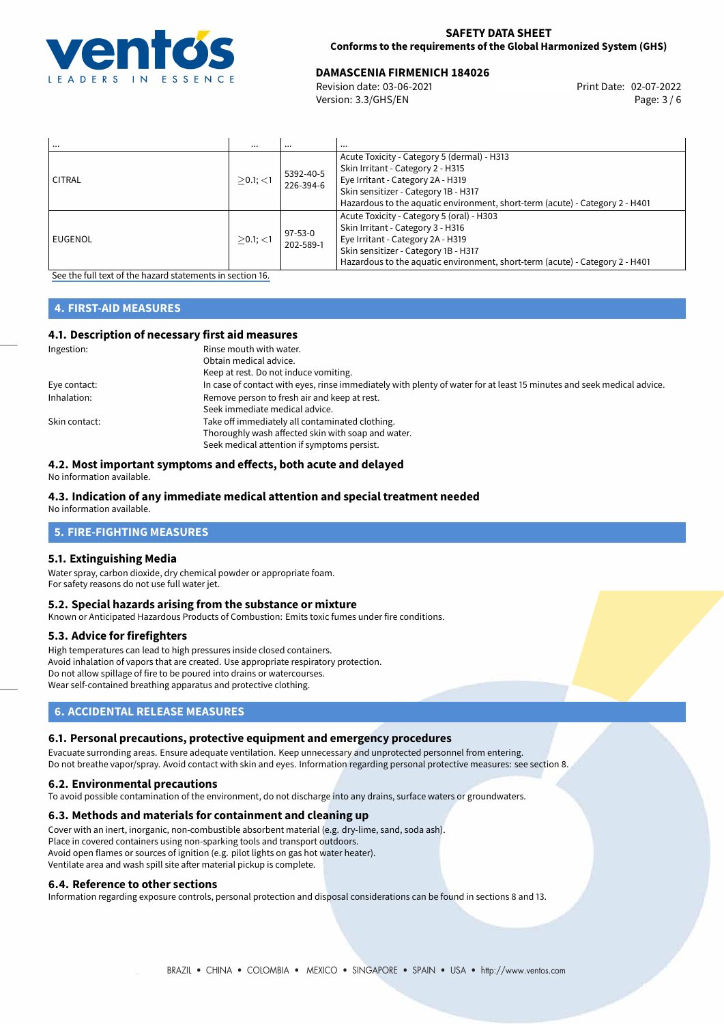

# **DAMASCENIA FIRMENICH 184026**<br>Revision date: 03-06-2021<br>**Print Date: 02-07-2022**

Revision date: 03-06-2021 Version: 3.3/GHS/EN Page: 3 / 6

| $\cdots$  | $\cdots$       | $\cdots$               | $\cdots$                                                                                                                                                                                                                                      |
|-----------|----------------|------------------------|-----------------------------------------------------------------------------------------------------------------------------------------------------------------------------------------------------------------------------------------------|
| CITRAL    | $>0.1$ ; $<$ 1 | 5392-40-5<br>226-394-6 | Acute Toxicity - Category 5 (dermal) - H313<br>Skin Irritant - Category 2 - H315<br>Eye Irritant - Category 2A - H319<br>Skin sensitizer - Category 1B - H317<br>Hazardous to the aquatic environment, short-term (acute) - Category 2 - H401 |
| l EUGENOL | $>0.1$ ; <1    | 97-53-0<br>202-589-1   | Acute Toxicity - Category 5 (oral) - H303<br>Skin Irritant - Category 3 - H316<br>Eye Irritant - Category 2A - H319<br>Skin sensitizer - Category 1B - H317<br>Hazardous to the aquatic environment, short-term (acute) - Category 2 - H401   |

[See the full text of the hazard statements in section 16.](#page-5-0)

## **4. FIRST-AID MEASURES**

### **4.1. Description of necessary first aid measures**

| Ingestion:    | Rinse mouth with water.                                                                                               |
|---------------|-----------------------------------------------------------------------------------------------------------------------|
|               | Obtain medical advice.                                                                                                |
|               | Keep at rest. Do not induce vomiting.                                                                                 |
| Eye contact:  | In case of contact with eyes, rinse immediately with plenty of water for at least 15 minutes and seek medical advice. |
| Inhalation:   | Remove person to fresh air and keep at rest.                                                                          |
|               | Seek immediate medical advice.                                                                                        |
| Skin contact: | Take off immediately all contaminated clothing.                                                                       |
|               | Thoroughly wash affected skin with soap and water.                                                                    |
|               | Seek medical attention if symptoms persist.                                                                           |

# **4.2. Most important symptoms and effects, both acute and delayed**

No information available.

### **4.3. Indication of any immediate medical attention and special treatment needed**

No information available.

# **5. FIRE-FIGHTING MEASURES**

### **5.1. Extinguishing Media**

Water spray, carbon dioxide, dry chemical powder or appropriate foam. For safety reasons do not use full water jet.

## **5.2. Special hazards arising from the substance or mixture**

Known or Anticipated Hazardous Products of Combustion: Emits toxic fumes under fire conditions.

### **5.3. Advice for firefighters**

High temperatures can lead to high pressures inside closed containers. Avoid inhalation of vapors that are created. Use appropriate respiratory protection. Do not allow spillage of fire to be poured into drains or watercourses. Wear self-contained breathing apparatus and protective clothing.

# **6. ACCIDENTAL RELEASE MEASURES**

### **6.1. Personal precautions, protective equipment and emergency procedures**

Evacuate surronding areas. Ensure adequate ventilation. Keep unnecessary and unprotected personnel from entering. Do not breathe vapor/spray. Avoid contact with skin and eyes. Information regarding personal protective measures: see section 8.

### **6.2. Environmental precautions**

To avoid possible contamination of the environment, do not discharge into any drains, surface waters or groundwaters.

### **6.3. Methods and materials for containment and cleaning up**

Cover with an inert, inorganic, non-combustible absorbent material (e.g. dry-lime, sand, soda ash). Place in covered containers using non-sparking tools and transport outdoors. Avoid open flames or sources of ignition (e.g. pilot lights on gas hot water heater). Ventilate area and wash spill site after material pickup is complete.

### **6.4. Reference to other sections**

Information regarding exposure controls, personal protection and disposal considerations can be found in sections 8 and 13.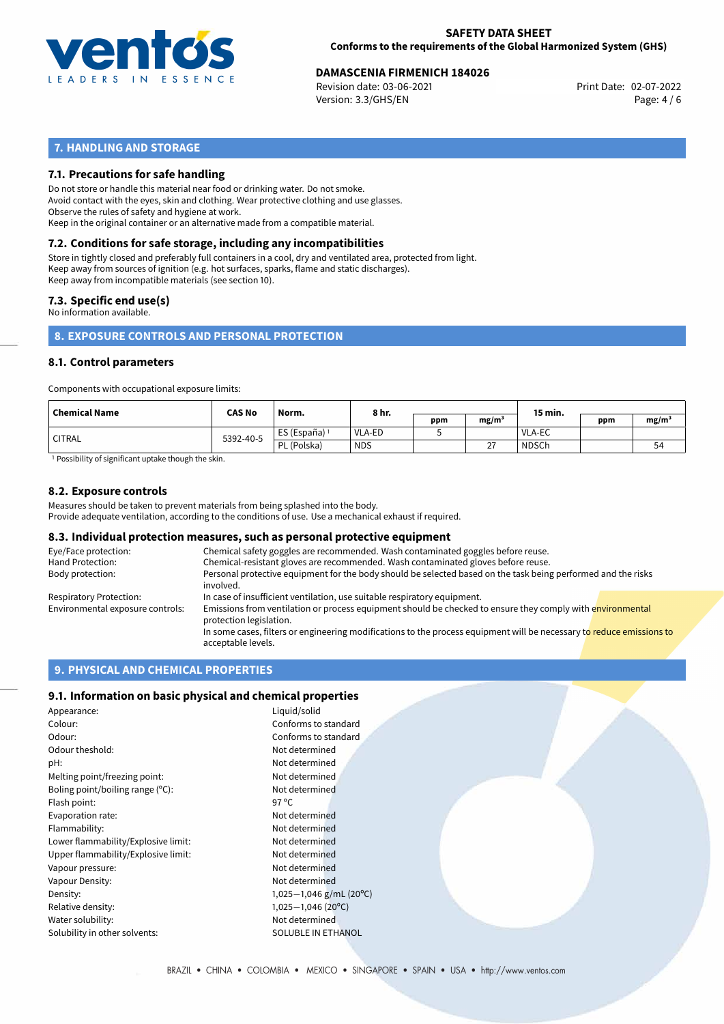

# **DAMASCENIA FIRMENICH 184026**<br>Revision date: 03-06-2021<br>**Print Date: 02-07-2022**

Revision date: 03-06-2021 Version: 3.3/GHS/EN Page: 4 / 6

# **7. HANDLING AND STORAGE**

# **7.1. Precautions for safe handling**

Do not store or handle this material near food or drinking water. Do not smoke. Avoid contact with the eyes, skin and clothing. Wear protective clothing and use glasses. Observe the rules of safety and hygiene at work. Keep in the original container or an alternative made from a compatible material.

# **7.2. Conditions for safe storage, including any incompatibilities**

Store in tightly closed and preferably full containers in a cool, dry and ventilated area, protected from light. Keep away from sources of ignition (e.g. hot surfaces, sparks, flame and static discharges). Keep away from incompatible materials (see section 10).

## **7.3. Specific end use(s)**

No information available.

**8. EXPOSURE CONTROLS AND PERSONAL PROTECTION**

## **8.1. Control parameters**

Components with occupational exposure limits:

| <b>Chemical Name</b> | <b>CAS No</b> | Norm.                    | 8 hr.         |     |                   | 15 min.       |     |                   |
|----------------------|---------------|--------------------------|---------------|-----|-------------------|---------------|-----|-------------------|
|                      |               |                          |               | ppm | mg/m <sup>3</sup> |               | ppm | mg/m <sup>3</sup> |
| <b>CITRAL</b>        | 5392-40-5     | ES (España) <sup>1</sup> | <b>VLA-ED</b> |     |                   | <b>VLA-EC</b> |     |                   |
|                      |               | PL (Polska)              | <b>NDS</b>    |     | $\sim$<br>∠       | <b>NDSCh</b>  |     | 54                |

<sup>1</sup> Possibility of significant uptake though the skin.

### **8.2. Exposure controls**

Measures should be taken to prevent materials from being splashed into the body. Provide adequate ventilation, according to the conditions of use. Use a mechanical exhaust if required.

### **8.3. Individual protection measures, such as personal protective equipment**

| Eye/Face protection:             | Chemical safety goggles are recommended. Wash contaminated goggles before reuse.                                                            |  |  |  |  |
|----------------------------------|---------------------------------------------------------------------------------------------------------------------------------------------|--|--|--|--|
| Hand Protection:                 | Chemical-resistant gloves are recommended. Wash contaminated gloves before reuse.                                                           |  |  |  |  |
| Body protection:                 | Personal protective equipment for the body should be selected based on the task being performed and the risks<br>involved.                  |  |  |  |  |
| Respiratory Protection:          | In case of insufficient ventilation, use suitable respiratory equipment.                                                                    |  |  |  |  |
| Environmental exposure controls: | Emissions from ventilation or process equipment should be checked to ensure they comply with environmental<br>protection legislation.       |  |  |  |  |
|                                  | In some cases, filters or engineering modifications to the process equipment will be necessary to reduce emissions to<br>acceptable levels. |  |  |  |  |

# **9. PHYSICAL AND CHEMICAL PROPERTIES**

### **9.1. Information on basic physical and chemical properties**

| Appearance:                         | Liquid/solid              |  |  |
|-------------------------------------|---------------------------|--|--|
| Colour:                             | Conforms to standard      |  |  |
| Odour:                              | Conforms to standard      |  |  |
| Odour theshold:                     | Not determined            |  |  |
| pH:                                 | Not determined            |  |  |
| Melting point/freezing point:       | Not determined            |  |  |
| Boling point/boiling range (°C):    | Not determined            |  |  |
| Flash point:                        | 97 $\degree$ C            |  |  |
| Evaporation rate:                   | Not determined            |  |  |
| Flammability:                       | Not determined            |  |  |
| Lower flammability/Explosive limit: | Not determined            |  |  |
| Upper flammability/Explosive limit: | Not determined            |  |  |
| Vapour pressure:                    | Not determined            |  |  |
| Vapour Density:                     | Not determined            |  |  |
| Density:                            | 1,025-1,046 g/mL (20°C)   |  |  |
| Relative density:                   | $1,025-1,046(20°C)$       |  |  |
| Not determined<br>Water solubility: |                           |  |  |
| Solubility in other solvents:       | <b>SOLUBLE IN ETHANOL</b> |  |  |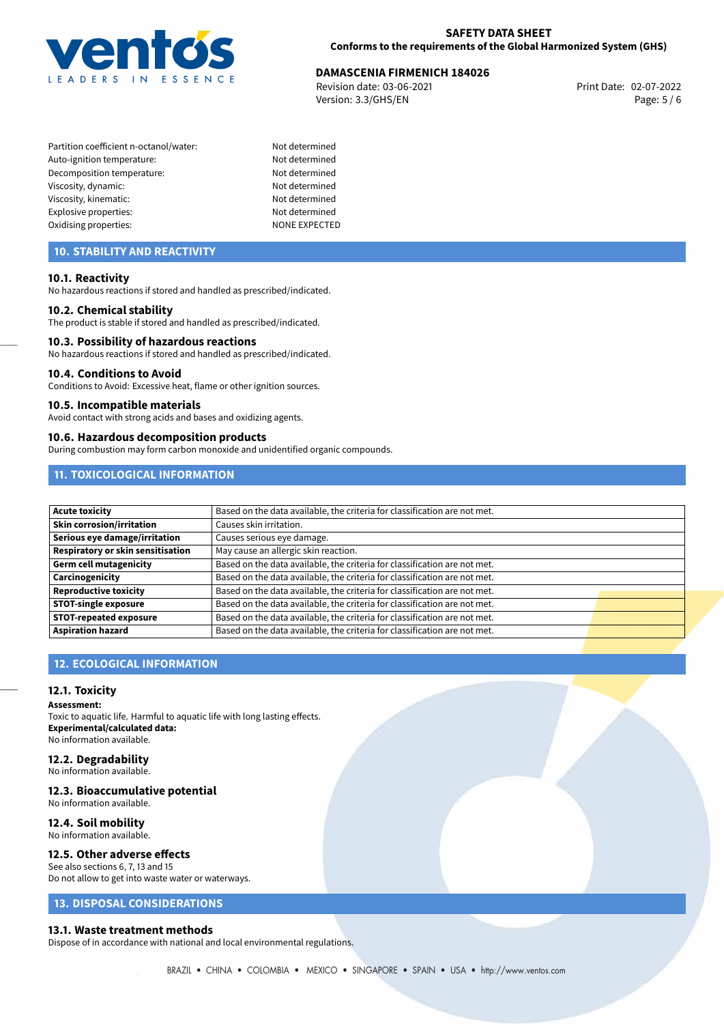

# **DAMASCENIA FIRMENICH 184026**<br>Revision date: 03-06-2021<br>**Print Date: 02-07-2022**

Revision date: 03-06-2021 Version: 3.3/GHS/EN Page: 5 / 6

- Partition coefficient n-octanol/water: Not determined Auto-ignition temperature: Not determined Decomposition temperature: Not determined Viscosity, dynamic: Not determined Viscosity, kinematic: Not determined Explosive properties: Not determined Oxidising properties: NONE EXPECTED
- 

# **10. STABILITY AND REACTIVITY**

### **10.1. Reactivity**

No hazardous reactions if stored and handled as prescribed/indicated.

### **10.2. Chemical stability**

The product is stable if stored and handled as prescribed/indicated.

# **10.3. Possibility of hazardous reactions**

No hazardous reactions if stored and handled as prescribed/indicated.

### **10.4. Conditions to Avoid**

Conditions to Avoid: Excessive heat, flame or other ignition sources.

### **10.5. Incompatible materials**

Avoid contact with strong acids and bases and oxidizing agents.

## **10.6. Hazardous decomposition products**

During combustion may form carbon monoxide and unidentified organic compounds.

# **11. TOXICOLOGICAL INFORMATION**

| <b>Acute toxicity</b>             | Based on the data available, the criteria for classification are not met. |
|-----------------------------------|---------------------------------------------------------------------------|
| Skin corrosion/irritation         | Causes skin irritation.                                                   |
| Serious eye damage/irritation     | Causes serious eye damage.                                                |
| Respiratory or skin sensitisation | May cause an allergic skin reaction.                                      |
| Germ cell mutagenicity            | Based on the data available, the criteria for classification are not met. |
| Carcinogenicity                   | Based on the data available, the criteria for classification are not met. |
| Reproductive toxicity             | Based on the data available, the criteria for classification are not met. |
| <b>STOT-single exposure</b>       | Based on the data available, the criteria for classification are not met. |
| <b>STOT-repeated exposure</b>     | Based on the data available, the criteria for classification are not met. |
| <b>Aspiration hazard</b>          | Based on the data available, the criteria for classification are not met. |

# **12. ECOLOGICAL INFORMATION**

## **12.1. Toxicity**

#### **Assessment:**

Toxic to aquatic life. Harmful to aquatic life with long lasting effects. **Experimental/calculated data:** No information available.

### **12.2. Degradability**

No information available.

### **12.3. Bioaccumulative potential**

No information available.

### **12.4. Soil mobility**

No information available.

### **12.5. Other adverse effects**

See also sections 6, 7, 13 and 15 Do not allow to get into waste water or waterways.

# **13. DISPOSAL CONSIDERATIONS**

### **13.1. Waste treatment methods**

Dispose of in accordance with national and local environmental regulations.